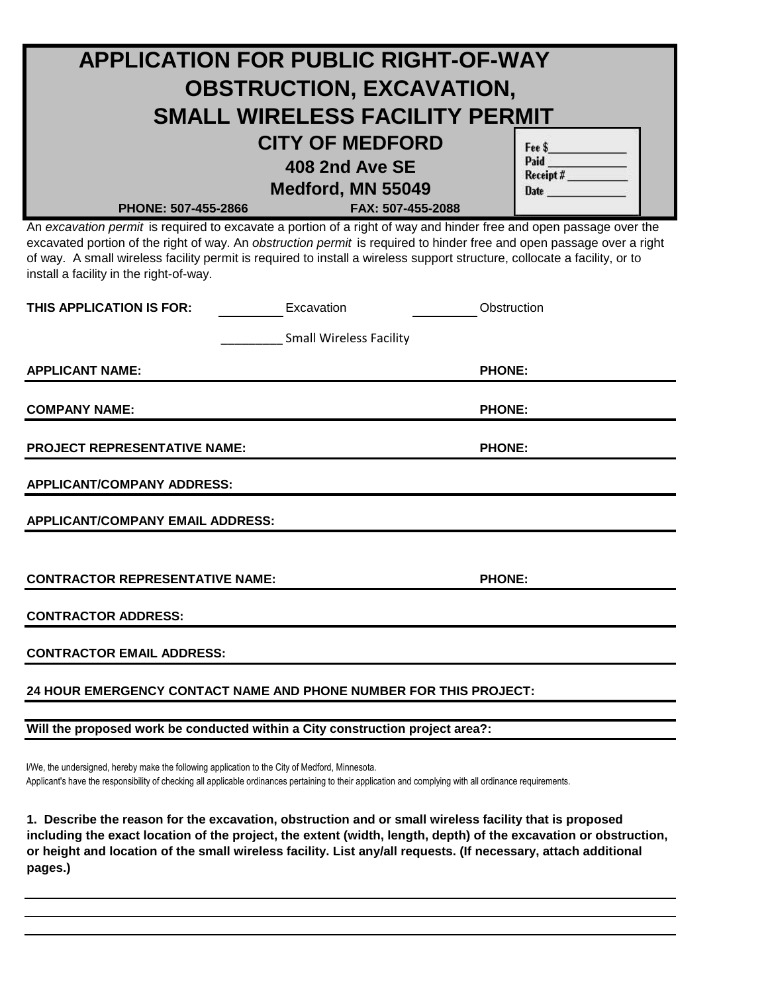| <b>APPLICATION FOR PUBLIC RIGHT-OF-WAY</b>                                                                                                                                                                                                                                                                                                                                                                          |                                        |               |  |  |
|---------------------------------------------------------------------------------------------------------------------------------------------------------------------------------------------------------------------------------------------------------------------------------------------------------------------------------------------------------------------------------------------------------------------|----------------------------------------|---------------|--|--|
| <b>OBSTRUCTION, EXCAVATION,</b>                                                                                                                                                                                                                                                                                                                                                                                     |                                        |               |  |  |
| <b>SMALL WIRELESS FACILITY PERMIT</b>                                                                                                                                                                                                                                                                                                                                                                               |                                        |               |  |  |
|                                                                                                                                                                                                                                                                                                                                                                                                                     | <b>CITY OF MEDFORD</b>                 | Fee \$        |  |  |
| Paid<br>Receipt #________<br>408 2nd Ave SE                                                                                                                                                                                                                                                                                                                                                                         |                                        |               |  |  |
| PHONE: 507-455-2866                                                                                                                                                                                                                                                                                                                                                                                                 | Medford, MN 55049<br>FAX: 507-455-2088 | <b>Date</b>   |  |  |
| An excavation permit is required to excavate a portion of a right of way and hinder free and open passage over the<br>excavated portion of the right of way. An obstruction permit is required to hinder free and open passage over a right<br>of way. A small wireless facility permit is required to install a wireless support structure, collocate a facility, or to<br>install a facility in the right-of-way. |                                        |               |  |  |
| THIS APPLICATION IS FOR:                                                                                                                                                                                                                                                                                                                                                                                            | Excavation                             | Obstruction   |  |  |
| <b>Small Wireless Facility</b>                                                                                                                                                                                                                                                                                                                                                                                      |                                        |               |  |  |
| <b>APPLICANT NAME:</b>                                                                                                                                                                                                                                                                                                                                                                                              |                                        | <b>PHONE:</b> |  |  |
| <b>COMPANY NAME:</b>                                                                                                                                                                                                                                                                                                                                                                                                |                                        | <b>PHONE:</b> |  |  |
| <b>PROJECT REPRESENTATIVE NAME:</b>                                                                                                                                                                                                                                                                                                                                                                                 |                                        | <b>PHONE:</b> |  |  |
| <b>APPLICANT/COMPANY ADDRESS:</b>                                                                                                                                                                                                                                                                                                                                                                                   |                                        |               |  |  |
| <b>APPLICANT/COMPANY EMAIL ADDRESS:</b>                                                                                                                                                                                                                                                                                                                                                                             |                                        |               |  |  |
|                                                                                                                                                                                                                                                                                                                                                                                                                     |                                        |               |  |  |
| <b>CONTRACTOR REPRESENTATIVE NAME:</b>                                                                                                                                                                                                                                                                                                                                                                              |                                        | <b>PHONE:</b> |  |  |
| <b>CONTRACTOR ADDRESS:</b>                                                                                                                                                                                                                                                                                                                                                                                          |                                        |               |  |  |
| <b>CONTRACTOR EMAIL ADDRESS:</b>                                                                                                                                                                                                                                                                                                                                                                                    |                                        |               |  |  |
| 24 HOUR EMERGENCY CONTACT NAME AND PHONE NUMBER FOR THIS PROJECT:                                                                                                                                                                                                                                                                                                                                                   |                                        |               |  |  |
| Will the proposed work be conducted within a City construction project area?:                                                                                                                                                                                                                                                                                                                                       |                                        |               |  |  |

I/We, the undersigned, hereby make the following application to the City of Medford, Minnesota. Applicant's have the responsibility of checking all applicable ordinances pertaining to their application and complying with all ordinance requirements.

**1. Describe the reason for the excavation, obstruction and or small wireless facility that is proposed including the exact location of the project, the extent (width, length, depth) of the excavation or obstruction, or height and location of the small wireless facility. List any/all requests. (If necessary, attach additional pages.)**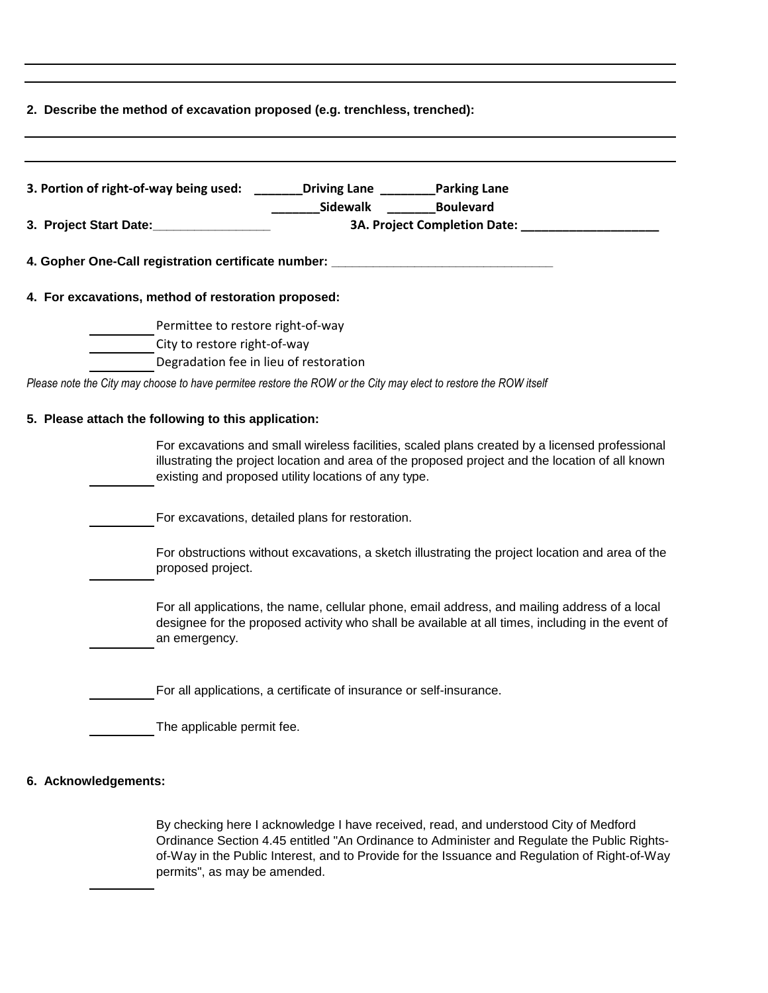| 2. Describe the method of excavation proposed (e.g. trenchless, trenched):        |                                                                                                                                                                                                                                                            |  |  |  |
|-----------------------------------------------------------------------------------|------------------------------------------------------------------------------------------------------------------------------------------------------------------------------------------------------------------------------------------------------------|--|--|--|
|                                                                                   |                                                                                                                                                                                                                                                            |  |  |  |
| 3. Portion of right-of-way being used: ________Driving Lane _________Parking Lane |                                                                                                                                                                                                                                                            |  |  |  |
| 3. Project Start Date:                                                            | Sidewalk<br><b>Boulevard</b><br>3A. Project Completion Date: _                                                                                                                                                                                             |  |  |  |
| 4. Gopher One-Call registration certificate number: ___                           |                                                                                                                                                                                                                                                            |  |  |  |
| 4. For excavations, method of restoration proposed:                               |                                                                                                                                                                                                                                                            |  |  |  |
| Permittee to restore right-of-way                                                 |                                                                                                                                                                                                                                                            |  |  |  |
| City to restore right-of-way                                                      |                                                                                                                                                                                                                                                            |  |  |  |
|                                                                                   | Degradation fee in lieu of restoration                                                                                                                                                                                                                     |  |  |  |
|                                                                                   | Please note the City may choose to have permitee restore the ROW or the City may elect to restore the ROW itself                                                                                                                                           |  |  |  |
| 5. Please attach the following to this application:                               |                                                                                                                                                                                                                                                            |  |  |  |
|                                                                                   | For excavations and small wireless facilities, scaled plans created by a licensed professional<br>illustrating the project location and area of the proposed project and the location of all known<br>existing and proposed utility locations of any type. |  |  |  |
|                                                                                   | For excavations, detailed plans for restoration.                                                                                                                                                                                                           |  |  |  |
| proposed project.                                                                 | For obstructions without excavations, a sketch illustrating the project location and area of the                                                                                                                                                           |  |  |  |
| an emergency.                                                                     | For all applications, the name, cellular phone, email address, and mailing address of a local<br>designee for the proposed activity who shall be available at all times, including in the event of                                                         |  |  |  |
|                                                                                   | For all applications, a certificate of insurance or self-insurance.                                                                                                                                                                                        |  |  |  |
| The applicable permit fee.                                                        |                                                                                                                                                                                                                                                            |  |  |  |

## **6. Acknowledgements:**

By checking here I acknowledge I have received, read, and understood City of Medford Ordinance Section 4.45 entitled "An Ordinance to Administer and Regulate the Public Rightsof-Way in the Public Interest, and to Provide for the Issuance and Regulation of Right-of-Way permits", as may be amended.